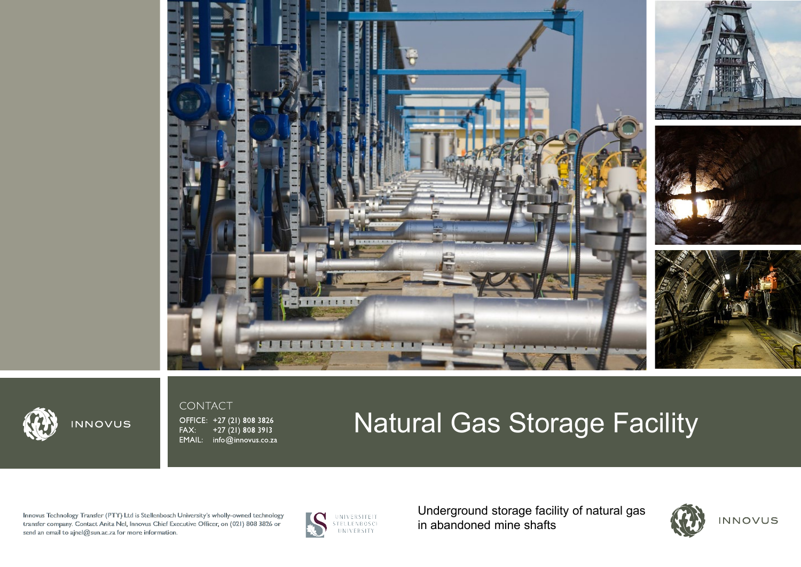



# INNOVUS

CONTACT

OFFICE: +27 (21) 808 3826 +27 (21) 808 3913 FAX: EMAIL: info@innovus.co.za

# Natural Gas Storage Facility

Innovus Technology Transfer (PTY) Ltd is Stellenbosch University's wholly-owned technology transfer company. Contact Anita Nel, Innovus Chief Executive Officer, on (021) 808 3826 or send an email to ajnel@sun.ac.za for more information.



UNIVERSITEIT<br>STELLENBOSCH<br>UNIVERSITY

Underground storage facility of natural gas in abandoned mine shafts









INNOVUS